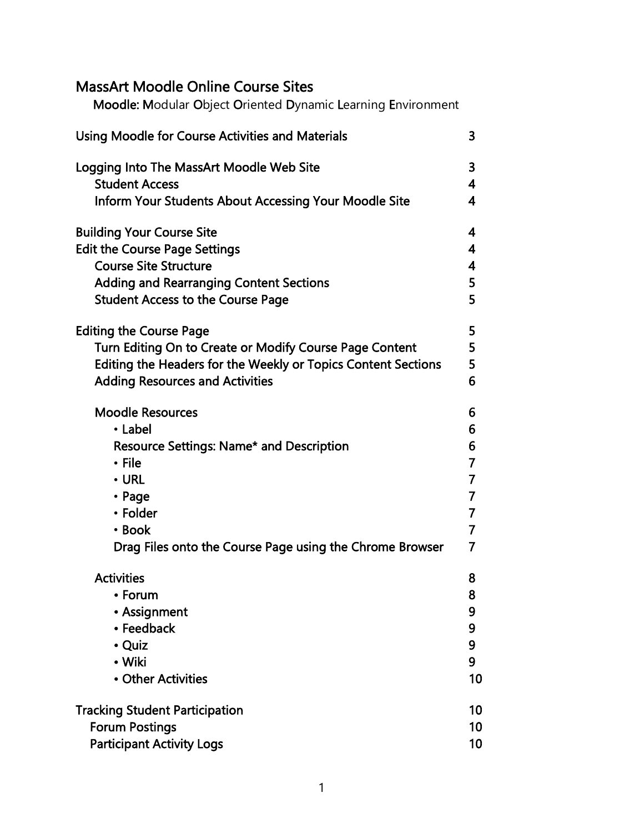# MassArt Moodle Online Course Sites

Moodle: Modular Object Oriented Dynamic Learning Environment

| <b>Using Moodle for Course Activities and Materials</b>       | 3              |
|---------------------------------------------------------------|----------------|
| Logging Into The MassArt Moodle Web Site                      | 3              |
| <b>Student Access</b>                                         | 4              |
| <b>Inform Your Students About Accessing Your Moodle Site</b>  | 4              |
| <b>Building Your Course Site</b>                              | 4              |
| <b>Edit the Course Page Settings</b>                          | 4              |
| <b>Course Site Structure</b>                                  | 4              |
| <b>Adding and Rearranging Content Sections</b>                | 5              |
| <b>Student Access to the Course Page</b>                      | 5              |
| <b>Editing the Course Page</b>                                | 5              |
| Turn Editing On to Create or Modify Course Page Content       | 5              |
| Editing the Headers for the Weekly or Topics Content Sections | 5              |
| <b>Adding Resources and Activities</b>                        | 6              |
| <b>Moodle Resources</b>                                       | 6              |
| • Label                                                       | 6              |
| <b>Resource Settings: Name* and Description</b>               | 6              |
| • File                                                        | $\overline{7}$ |
| $\cdot$ URL                                                   | $\overline{7}$ |
| • Page                                                        | 7              |
| • Folder                                                      | $\overline{7}$ |
| • Book                                                        | $\overline{7}$ |
| Drag Files onto the Course Page using the Chrome Browser      | 7              |
| <b>Activities</b>                                             | 8              |
| <b>Forum</b>                                                  | 8              |
| • Assignment                                                  | 9              |
| • Feedback                                                    | 9              |
| • Quiz                                                        | 9              |
| • Wiki                                                        | 9              |
| • Other Activities                                            | 10             |
| <b>Tracking Student Participation</b>                         | 10             |
| <b>Forum Postings</b>                                         | 10             |
| <b>Participant Activity Logs</b>                              | 10             |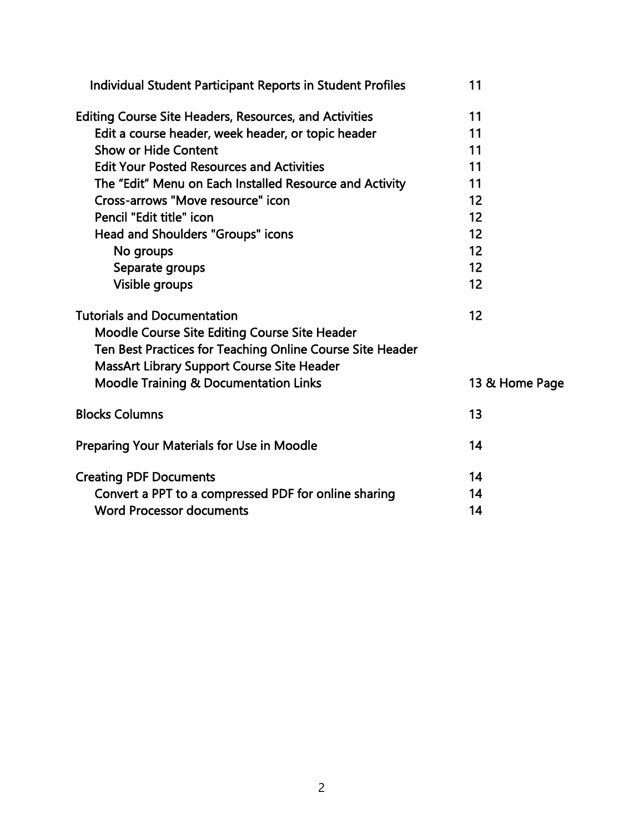| Individual Student Participant Reports in Student Profiles    | 11             |
|---------------------------------------------------------------|----------------|
| <b>Editing Course Site Headers, Resources, and Activities</b> | 11             |
| Edit a course header, week header, or topic header            | 11             |
| <b>Show or Hide Content</b>                                   | 11             |
| <b>Edit Your Posted Resources and Activities</b>              | 11             |
| The "Edit" Menu on Each Installed Resource and Activity       | 11             |
| Cross-arrows "Move resource" icon                             | 12             |
| Pencil "Edit title" icon                                      | 12             |
| Head and Shoulders "Groups" icons                             | 12             |
| No groups                                                     | 12             |
| Separate groups                                               | 12             |
| Visible groups                                                | 12             |
| <b>Tutorials and Documentation</b>                            | 12             |
| Moodle Course Site Editing Course Site Header                 |                |
| Ten Best Practices for Teaching Online Course Site Header     |                |
| MassArt Library Support Course Site Header                    |                |
| <b>Moodle Training &amp; Documentation Links</b>              | 13 & Home Page |
| <b>Blocks Columns</b>                                         | 13             |
| <b>Preparing Your Materials for Use in Moodle</b>             | 14             |
| <b>Creating PDF Documents</b>                                 | 14             |
| Convert a PPT to a compressed PDF for online sharing          | 14             |
| <b>Word Processor documents</b>                               | 14             |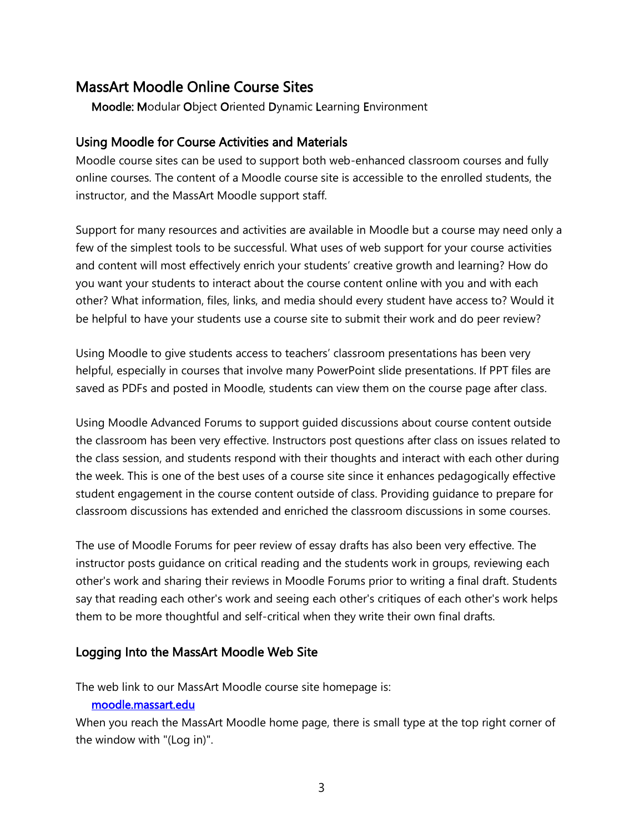# MassArt Moodle Online Course Sites

Moodle: Modular Object Oriented Dynamic Learning Environment

#### Using Moodle for Course Activities and Materials

Moodle course sites can be used to support both web-enhanced classroom courses and fully online courses. The content of a Moodle course site is accessible to the enrolled students, the instructor, and the MassArt Moodle support staff.

Support for many resources and activities are available in Moodle but a course may need only a few of the simplest tools to be successful. What uses of web support for your course activities and content will most effectively enrich your students' creative growth and learning? How do you want your students to interact about the course content online with you and with each other? What information, files, links, and media should every student have access to? Would it be helpful to have your students use a course site to submit their work and do peer review?

Using Moodle to give students access to teachers' classroom presentations has been very helpful, especially in courses that involve many PowerPoint slide presentations. If PPT files are saved as PDFs and posted in Moodle, students can view them on the course page after class.

Using Moodle Advanced Forums to support guided discussions about course content outside the classroom has been very effective. Instructors post questions after class on issues related to the class session, and students respond with their thoughts and interact with each other during the week. This is one of the best uses of a course site since it enhances pedagogically effective student engagement in the course content outside of class. Providing guidance to prepare for classroom discussions has extended and enriched the classroom discussions in some courses.

The use of Moodle Forums for peer review of essay drafts has also been very effective. The instructor posts guidance on critical reading and the students work in groups, reviewing each other's work and sharing their reviews in Moodle Forums prior to writing a final draft. Students say that reading each other's work and seeing each other's critiques of each other's work helps them to be more thoughtful and self-critical when they write their own final drafts.

### Logging Into the MassArt Moodle Web Site

The web link to our MassArt Moodle course site homepage is:

#### [moodle.massart.edu](http://moodle.massart.edu/)

When you reach the MassArt Moodle home page, there is small type at the top right corner of the window with "(Log in)".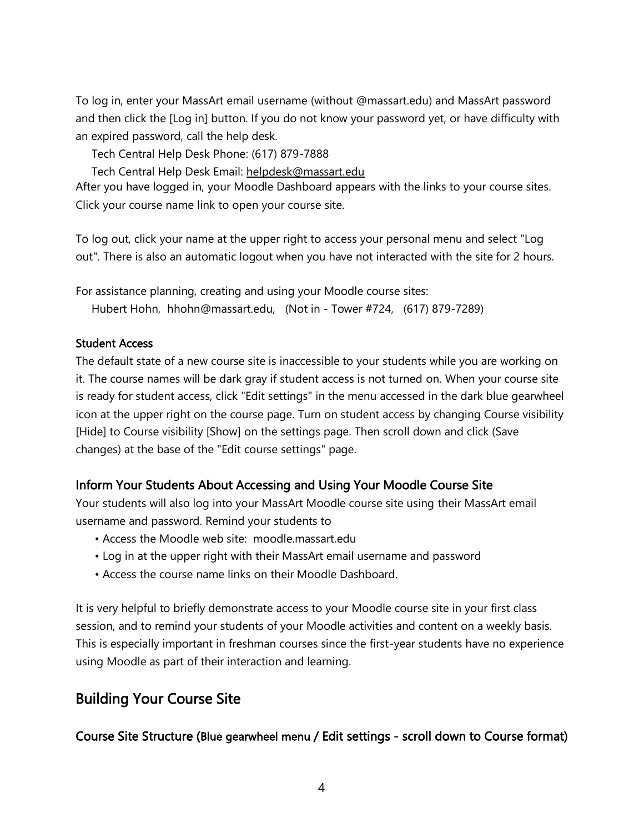To log in, enter your MassArt email username (without @massart.edu) and MassArt password and then click the [Log in] button. If you do not know your password yet, or have difficulty with an expired password, call the help desk.

Tech Central Help Desk Phone: (617) 879-7888

Tech Central Help Desk Email: [helpdesk@massart.edu](mailto:helpdesk@massart.edu)

After you have logged in, your Moodle Dashboard appears with the links to your course sites. Click your course name link to open your course site.

To log out, click your name at the upper right to access your personal menu and select "Log out". There is also an automatic logout when you have not interacted with the site for 2 hours.

For assistance planning, creating and using your Moodle course sites:

Hubert Hohn, hhohn@massart.edu, (Not in - Tower #724, (617) 879-7289)

### Student Access

The default state of a new course site is inaccessible to your students while you are working on it. The course names will be dark gray if student access is not turned on. When your course site is ready for student access, click "Edit settings" in the menu accessed in the dark blue gearwheel icon at the upper right on the course page. Turn on student access by changing Course visibility [Hide] to Course visibility [Show] on the settings page. Then scroll down and click (Save changes) at the base of the "Edit course settings" page.

# Inform Your Students About Accessing and Using Your Moodle Course Site

Your students will also log into your MassArt Moodle course site using their MassArt email username and password. Remind your students to

- Access the Moodle web site: moodle.massart.edu
- Log in at the upper right with their MassArt email username and password
- Access the course name links on their Moodle Dashboard.

It is very helpful to briefly demonstrate access to your Moodle course site in your first class session, and to remind your students of your Moodle activities and content on a weekly basis. This is especially important in freshman courses since the first-year students have no experience using Moodle as part of their interaction and learning.

# Building Your Course Site

# Course Site Structure (Blue gearwheel menu / Edit settings - scroll down to Course format)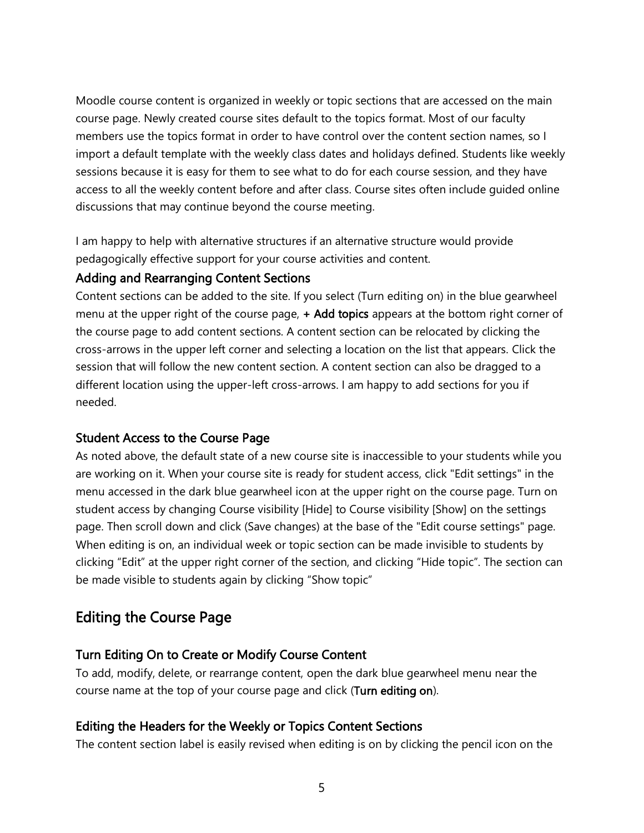Moodle course content is organized in weekly or topic sections that are accessed on the main course page. Newly created course sites default to the topics format. Most of our faculty members use the topics format in order to have control over the content section names, so I import a default template with the weekly class dates and holidays defined. Students like weekly sessions because it is easy for them to see what to do for each course session, and they have access to all the weekly content before and after class. Course sites often include guided online discussions that may continue beyond the course meeting.

I am happy to help with alternative structures if an alternative structure would provide pedagogically effective support for your course activities and content.

### Adding and Rearranging Content Sections

Content sections can be added to the site. If you select (Turn editing on) in the blue gearwheel menu at the upper right of the course page,  $+$  Add topics appears at the bottom right corner of the course page to add content sections. A content section can be relocated by clicking the cross-arrows in the upper left corner and selecting a location on the list that appears. Click the session that will follow the new content section. A content section can also be dragged to a different location using the upper-left cross-arrows. I am happy to add sections for you if needed.

# Student Access to the Course Page

As noted above, the default state of a new course site is inaccessible to your students while you are working on it. When your course site is ready for student access, click "Edit settings" in the menu accessed in the dark blue gearwheel icon at the upper right on the course page. Turn on student access by changing Course visibility [Hide] to Course visibility [Show] on the settings page. Then scroll down and click (Save changes) at the base of the "Edit course settings" page. When editing is on, an individual week or topic section can be made invisible to students by clicking "Edit" at the upper right corner of the section, and clicking "Hide topic". The section can be made visible to students again by clicking "Show topic"

# Editing the Course Page

# Turn Editing On to Create or Modify Course Content

To add, modify, delete, or rearrange content, open the dark blue gearwheel menu near the course name at the top of your course page and click (Turn editing on).

### Editing the Headers for the Weekly or Topics Content Sections

The content section label is easily revised when editing is on by clicking the pencil icon on the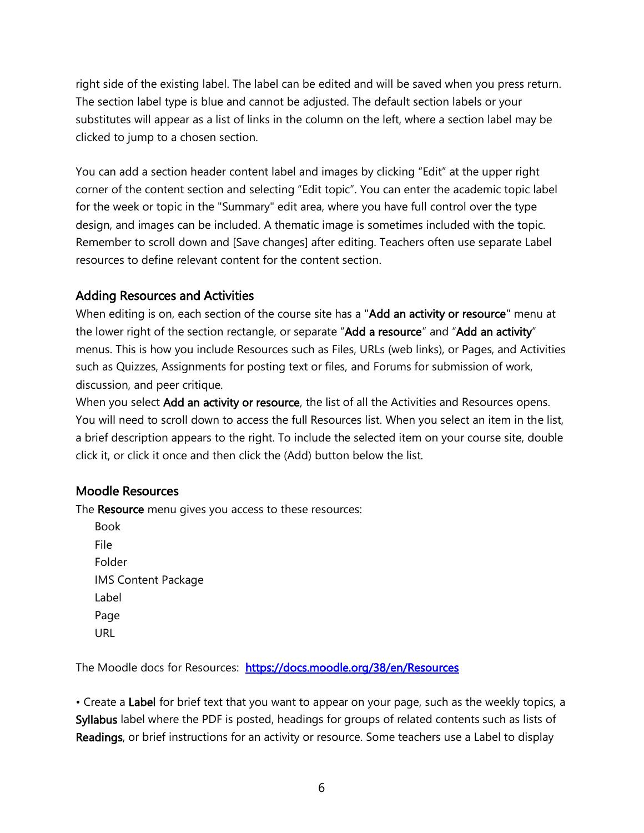right side of the existing label. The label can be edited and will be saved when you press return. The section label type is blue and cannot be adjusted. The default section labels or your substitutes will appear as a list of links in the column on the left, where a section label may be clicked to jump to a chosen section.

You can add a section header content label and images by clicking "Edit" at the upper right corner of the content section and selecting "Edit topic". You can enter the academic topic label for the week or topic in the "Summary" edit area, where you have full control over the type design, and images can be included. A thematic image is sometimes included with the topic. Remember to scroll down and [Save changes] after editing. Teachers often use separate Label resources to define relevant content for the content section.

# Adding Resources and Activities

When editing is on, each section of the course site has a "Add an activity or resource" menu at the lower right of the section rectangle, or separate "Add a resource" and "Add an activity" menus. This is how you include Resources such as Files, URLs (web links), or Pages, and Activities such as Quizzes, Assignments for posting text or files, and Forums for submission of work, discussion, and peer critique.

When you select Add an activity or resource, the list of all the Activities and Resources opens. You will need to scroll down to access the full Resources list. When you select an item in the list, a brief description appears to the right. To include the selected item on your course site, double click it, or click it once and then click the (Add) button below the list.

# Moodle Resources

The Resource menu gives you access to these resources:

Book File Folder IMS Content Package Label Page URL

The Moodle docs for Resources: <https://docs.moodle.org/38/en/Resources>

• Create a Label for brief text that you want to appear on your page, such as the weekly topics, a Syllabus label where the PDF is posted, headings for groups of related contents such as lists of Readings, or brief instructions for an activity or resource. Some teachers use a Label to display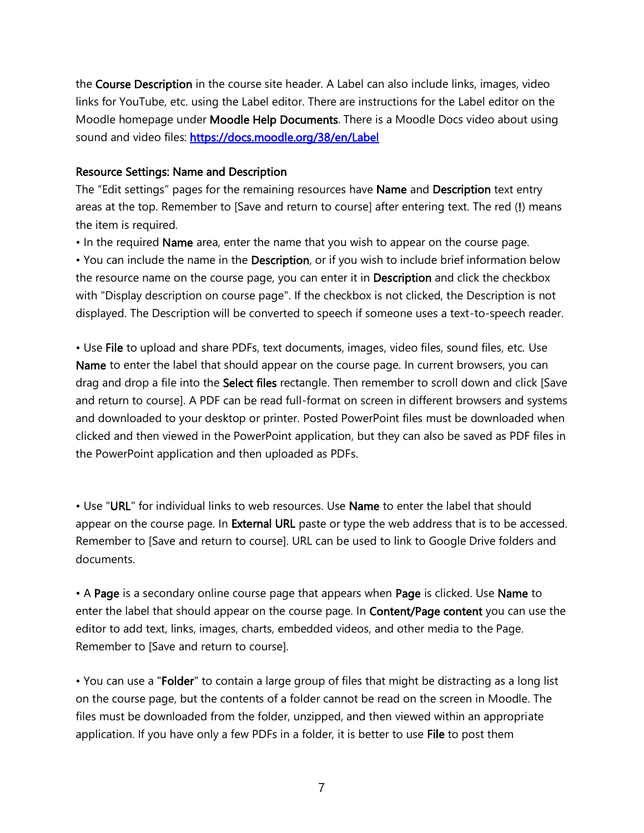the Course Description in the course site header. A Label can also include links, images, video links for YouTube, etc. using the Label editor. There are instructions for the Label editor on the Moodle homepage under Moodle Help Documents. There is a Moodle Docs video about using sound and video files:<https://docs.moodle.org/38/en/Label>

#### Resource Settings: Name and Description

The "Edit settings" pages for the remaining resources have **Name** and Description text entry areas at the top. Remember to [Save and return to course] after entering text. The red (!) means the item is required.

• In the required Name area, enter the name that you wish to appear on the course page.

• You can include the name in the Description, or if you wish to include brief information below the resource name on the course page, you can enter it in Description and click the checkbox with "Display description on course page". If the checkbox is not clicked, the Description is not displayed. The Description will be converted to speech if someone uses a text-to-speech reader.

• Use File to upload and share PDFs, text documents, images, video files, sound files, etc. Use Name to enter the label that should appear on the course page. In current browsers, you can drag and drop a file into the **Select files** rectangle. Then remember to scroll down and click [Save and return to course]. A PDF can be read full-format on screen in different browsers and systems and downloaded to your desktop or printer. Posted PowerPoint files must be downloaded when clicked and then viewed in the PowerPoint application, but they can also be saved as PDF files in the PowerPoint application and then uploaded as PDFs.

• Use "URL" for individual links to web resources. Use **Name** to enter the label that should appear on the course page. In **External URL** paste or type the web address that is to be accessed. Remember to [Save and return to course]. URL can be used to link to Google Drive folders and documents.

• A Page is a secondary online course page that appears when Page is clicked. Use Name to enter the label that should appear on the course page. In **Content/Page content** you can use the editor to add text, links, images, charts, embedded videos, and other media to the Page. Remember to [Save and return to course].

• You can use a "Folder" to contain a large group of files that might be distracting as a long list on the course page, but the contents of a folder cannot be read on the screen in Moodle. The files must be downloaded from the folder, unzipped, and then viewed within an appropriate application. If you have only a few PDFs in a folder, it is better to use File to post them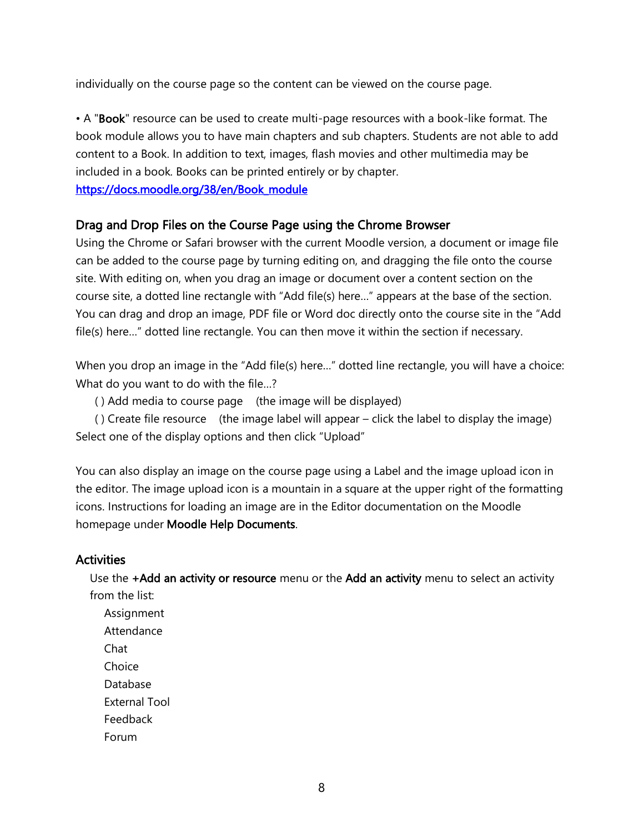individually on the course page so the content can be viewed on the course page.

• A "Book" resource can be used to create multi-page resources with a book-like format. The book module allows you to have main chapters and sub chapters. Students are not able to add content to a Book. In addition to text, images, flash movies and other multimedia may be included in a book. Books can be printed entirely or by chapter. [https://docs.moodle.org/38/en/Book\\_module](https://docs.moodle.org/38/en/Book_module)

### Drag and Drop Files on the Course Page using the Chrome Browser

Using the Chrome or Safari browser with the current Moodle version, a document or image file can be added to the course page by turning editing on, and dragging the file onto the course site. With editing on, when you drag an image or document over a content section on the course site, a dotted line rectangle with "Add file(s) here…" appears at the base of the section. You can drag and drop an image, PDF file or Word doc directly onto the course site in the "Add file(s) here..." dotted line rectangle. You can then move it within the section if necessary.

When you drop an image in the "Add file(s) here..." dotted line rectangle, you will have a choice: What do you want to do with the file...?

( ) Add media to course page (the image will be displayed)

 ( ) Create file resource (the image label will appear – click the label to display the image) Select one of the display options and then click "Upload"

You can also display an image on the course page using a Label and the image upload icon in the editor. The image upload icon is a mountain in a square at the upper right of the formatting icons. Instructions for loading an image are in the Editor documentation on the Moodle homepage under Moodle Help Documents.

### **Activities**

Use the +Add an activity or resource menu or the Add an activity menu to select an activity from the list:

Assignment Attendance Chat **Choice** Database External Tool Feedback Forum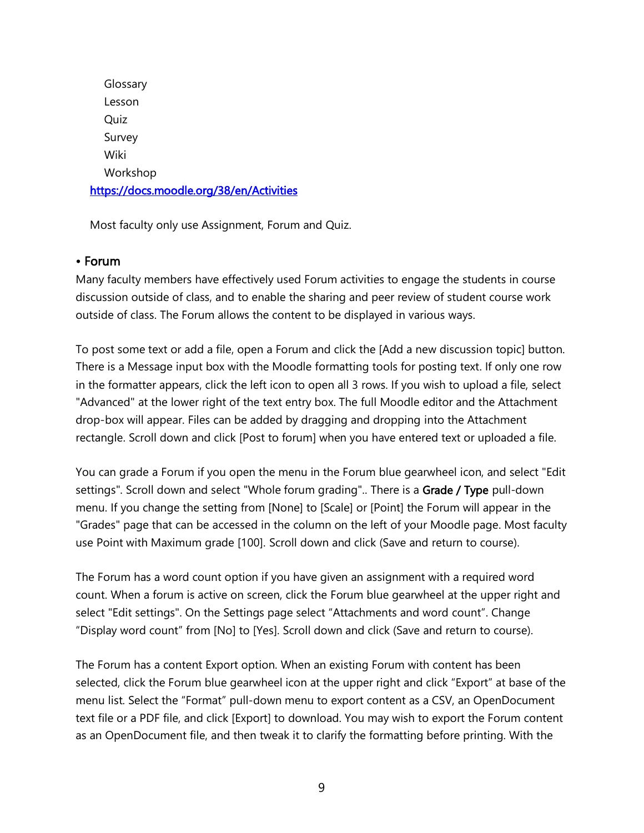**Glossary** Lesson Quiz Survey Wiki Workshop <https://docs.moodle.org/38/en/Activities>

Most faculty only use Assignment, Forum and Quiz.

# • Forum

Many faculty members have effectively used Forum activities to engage the students in course discussion outside of class, and to enable the sharing and peer review of student course work outside of class. The Forum allows the content to be displayed in various ways.

To post some text or add a file, open a Forum and click the [Add a new discussion topic] button. There is a Message input box with the Moodle formatting tools for posting text. If only one row in the formatter appears, click the left icon to open all 3 rows. If you wish to upload a file, select "Advanced" at the lower right of the text entry box. The full Moodle editor and the Attachment drop-box will appear. Files can be added by dragging and dropping into the Attachment rectangle. Scroll down and click [Post to forum] when you have entered text or uploaded a file.

You can grade a Forum if you open the menu in the Forum blue gearwheel icon, and select "Edit settings". Scroll down and select "Whole forum grading".. There is a Grade / Type pull-down menu. If you change the setting from [None] to [Scale] or [Point] the Forum will appear in the "Grades" page that can be accessed in the column on the left of your Moodle page. Most faculty use Point with Maximum grade [100]. Scroll down and click (Save and return to course).

The Forum has a word count option if you have given an assignment with a required word count. When a forum is active on screen, click the Forum blue gearwheel at the upper right and select "Edit settings". On the Settings page select "Attachments and word count". Change "Display word count" from [No] to [Yes]. Scroll down and click (Save and return to course).

The Forum has a content Export option. When an existing Forum with content has been selected, click the Forum blue gearwheel icon at the upper right and click "Export" at base of the menu list. Select the "Format" pull-down menu to export content as a CSV, an OpenDocument text file or a PDF file, and click [Export] to download. You may wish to export the Forum content as an OpenDocument file, and then tweak it to clarify the formatting before printing. With the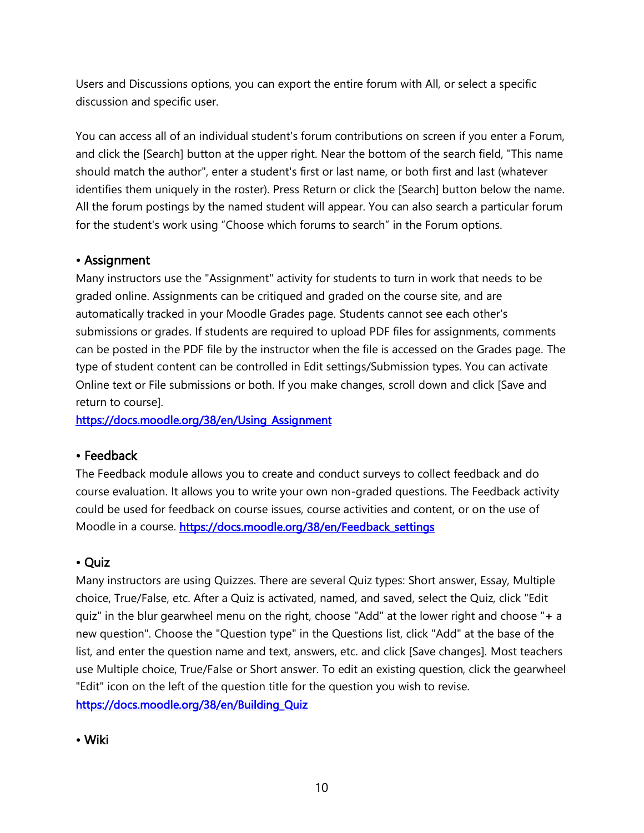Users and Discussions options, you can export the entire forum with All, or select a specific discussion and specific user.

You can access all of an individual student's forum contributions on screen if you enter a Forum, and click the [Search] button at the upper right. Near the bottom of the search field, "This name should match the author", enter a student's first or last name, or both first and last (whatever identifies them uniquely in the roster). Press Return or click the [Search] button below the name. All the forum postings by the named student will appear. You can also search a particular forum for the student's work using "Choose which forums to search" in the Forum options.

# • Assignment

Many instructors use the "Assignment" activity for students to turn in work that needs to be graded online. Assignments can be critiqued and graded on the course site, and are automatically tracked in your Moodle Grades page. Students cannot see each other's submissions or grades. If students are required to upload PDF files for assignments, comments can be posted in the PDF file by the instructor when the file is accessed on the Grades page. The type of student content can be controlled in Edit settings/Submission types. You can activate Online text or File submissions or both. If you make changes, scroll down and click [Save and return to course].

[https://docs.moodle.org/38/en/Using\\_Assignment](https://docs.moodle.org/38/en/Using_Assignment)

# • Feedback

The Feedback module allows you to create and conduct surveys to collect feedback and do course evaluation. It allows you to write your own non-graded questions. The Feedback activity could be used for feedback on course issues, course activities and content, or on the use of Moodle in a course. [https://docs.moodle.org/38/en/Feedback\\_settings](https://docs.moodle.org/38/en/Feedback_settings)

# • Quiz

Many instructors are using Quizzes. There are several Quiz types: Short answer, Essay, Multiple choice, True/False, etc. After a Quiz is activated, named, and saved, select the Quiz, click "Edit quiz" in the blur gearwheel menu on the right, choose "Add" at the lower right and choose "+ a new question". Choose the "Question type" in the Questions list, click "Add" at the base of the list, and enter the question name and text, answers, etc. and click [Save changes]. Most teachers use Multiple choice, True/False or Short answer. To edit an existing question, click the gearwheel "Edit" icon on the left of the question title for the question you wish to revise. [https://docs.moodle.org/38/en/Building\\_Quiz](https://docs.moodle.org/38/en/Building_Quiz)

• Wiki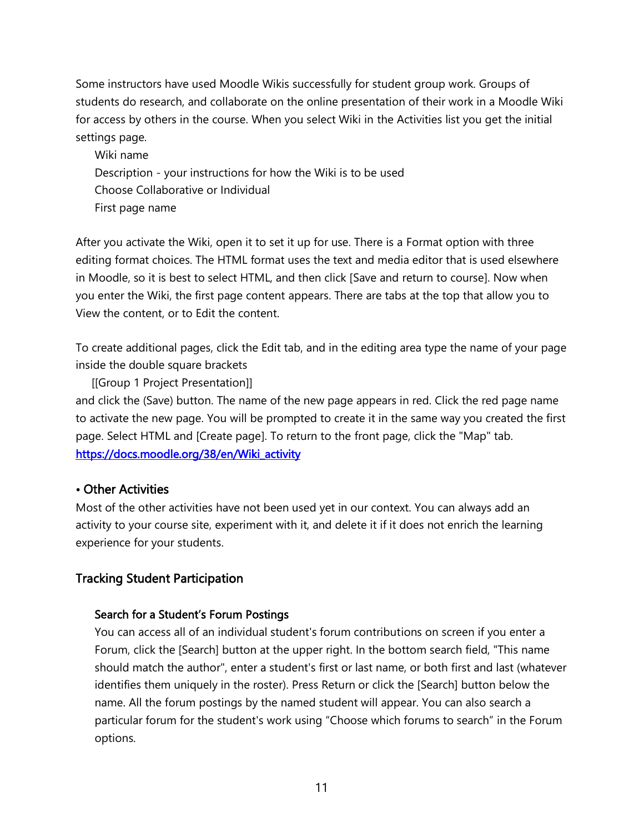Some instructors have used Moodle Wikis successfully for student group work. Groups of students do research, and collaborate on the online presentation of their work in a Moodle Wiki for access by others in the course. When you select Wiki in the Activities list you get the initial settings page.

Wiki name Description - your instructions for how the Wiki is to be used Choose Collaborative or Individual First page name

After you activate the Wiki, open it to set it up for use. There is a Format option with three editing format choices. The HTML format uses the text and media editor that is used elsewhere in Moodle, so it is best to select HTML, and then click [Save and return to course]. Now when you enter the Wiki, the first page content appears. There are tabs at the top that allow you to View the content, or to Edit the content.

To create additional pages, click the Edit tab, and in the editing area type the name of your page inside the double square brackets

 [[Group 1 Project Presentation]] and click the (Save) button. The name of the new page appears in red. Click the red page name to activate the new page. You will be prompted to create it in the same way you created the first page. Select HTML and [Create page]. To return to the front page, click the "Map" tab. [https://docs.moodle.org/38/en/Wiki\\_activity](https://docs.moodle.org/38/en/Wiki_activity)

# • Other Activities

Most of the other activities have not been used yet in our context. You can always add an activity to your course site, experiment with it, and delete it if it does not enrich the learning experience for your students.

# Tracking Student Participation

### Search for a Student's Forum Postings

You can access all of an individual student's forum contributions on screen if you enter a Forum, click the [Search] button at the upper right. In the bottom search field, "This name should match the author", enter a student's first or last name, or both first and last (whatever identifies them uniquely in the roster). Press Return or click the [Search] button below the name. All the forum postings by the named student will appear. You can also search a particular forum for the student's work using "Choose which forums to search" in the Forum options.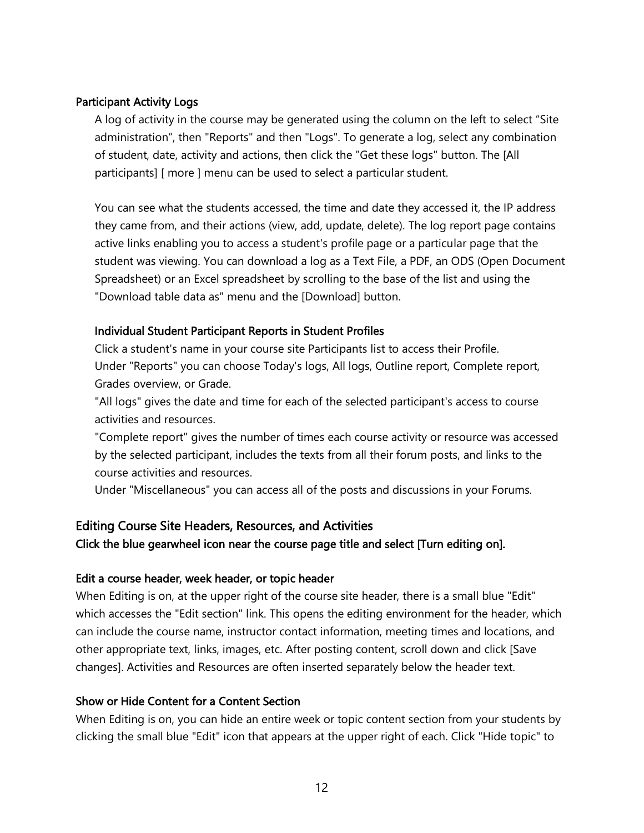### Participant Activity Logs

A log of activity in the course may be generated using the column on the left to select "Site administration", then "Reports" and then "Logs". To generate a log, select any combination of student, date, activity and actions, then click the "Get these logs" button. The [All participants] [ more ] menu can be used to select a particular student.

You can see what the students accessed, the time and date they accessed it, the IP address they came from, and their actions (view, add, update, delete). The log report page contains active links enabling you to access a student's profile page or a particular page that the student was viewing. You can download a log as a Text File, a PDF, an ODS (Open Document Spreadsheet) or an Excel spreadsheet by scrolling to the base of the list and using the "Download table data as" menu and the [Download] button.

### Individual Student Participant Reports in Student Profiles

Click a student's name in your course site Participants list to access their Profile. Under "Reports" you can choose Today's logs, All logs, Outline report, Complete report, Grades overview, or Grade.

"All logs" gives the date and time for each of the selected participant's access to course activities and resources.

"Complete report" gives the number of times each course activity or resource was accessed by the selected participant, includes the texts from all their forum posts, and links to the course activities and resources.

Under "Miscellaneous" you can access all of the posts and discussions in your Forums.

# Editing Course Site Headers, Resources, and Activities

Click the blue gearwheel icon near the course page title and select [Turn editing on].

### Edit a course header, week header, or topic header

When Editing is on, at the upper right of the course site header, there is a small blue "Edit" which accesses the "Edit section" link. This opens the editing environment for the header, which can include the course name, instructor contact information, meeting times and locations, and other appropriate text, links, images, etc. After posting content, scroll down and click [Save changes]. Activities and Resources are often inserted separately below the header text.

### Show or Hide Content for a Content Section

When Editing is on, you can hide an entire week or topic content section from your students by clicking the small blue "Edit" icon that appears at the upper right of each. Click "Hide topic" to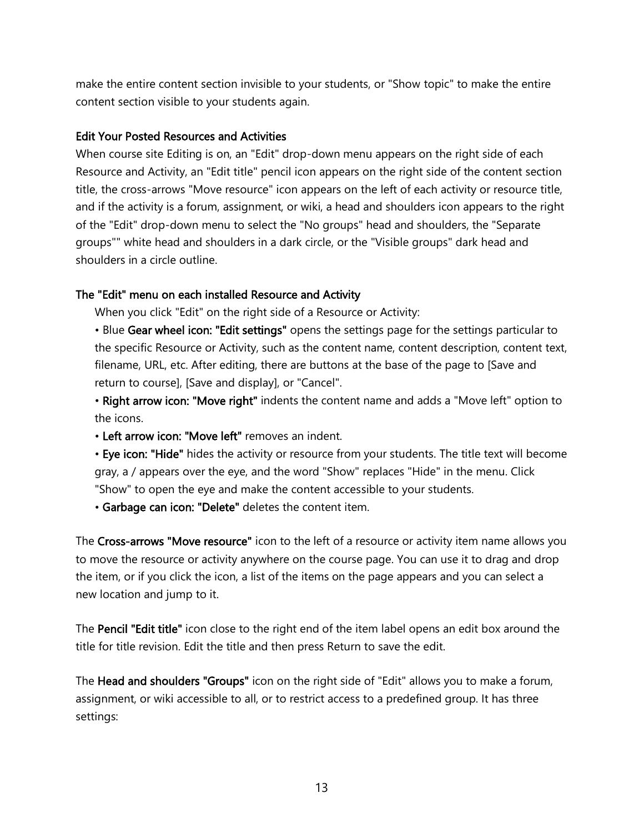make the entire content section invisible to your students, or "Show topic" to make the entire content section visible to your students again.

#### Edit Your Posted Resources and Activities

When course site Editing is on, an "Edit" drop-down menu appears on the right side of each Resource and Activity, an "Edit title" pencil icon appears on the right side of the content section title, the cross-arrows "Move resource" icon appears on the left of each activity or resource title, and if the activity is a forum, assignment, or wiki, a head and shoulders icon appears to the right of the "Edit" drop-down menu to select the "No groups" head and shoulders, the "Separate groups"" white head and shoulders in a dark circle, or the "Visible groups" dark head and shoulders in a circle outline.

#### The "Edit" menu on each installed Resource and Activity

When you click "Edit" on the right side of a Resource or Activity:

• Blue Gear wheel icon: "Edit settings" opens the settings page for the settings particular to the specific Resource or Activity, such as the content name, content description, content text, filename, URL, etc. After editing, there are buttons at the base of the page to [Save and return to course], [Save and display], or "Cancel".

• Right arrow icon: "Move right" indents the content name and adds a "Move left" option to the icons.

• Left arrow icon: "Move left" removes an indent.

• Eye icon: "Hide" hides the activity or resource from your students. The title text will become gray, a / appears over the eye, and the word "Show" replaces "Hide" in the menu. Click "Show" to open the eye and make the content accessible to your students.

• Garbage can icon: "Delete" deletes the content item.

The Cross-arrows "Move resource" icon to the left of a resource or activity item name allows you to move the resource or activity anywhere on the course page. You can use it to drag and drop the item, or if you click the icon, a list of the items on the page appears and you can select a new location and jump to it.

The Pencil "Edit title" icon close to the right end of the item label opens an edit box around the title for title revision. Edit the title and then press Return to save the edit.

The Head and shoulders "Groups" icon on the right side of "Edit" allows you to make a forum, assignment, or wiki accessible to all, or to restrict access to a predefined group. It has three settings: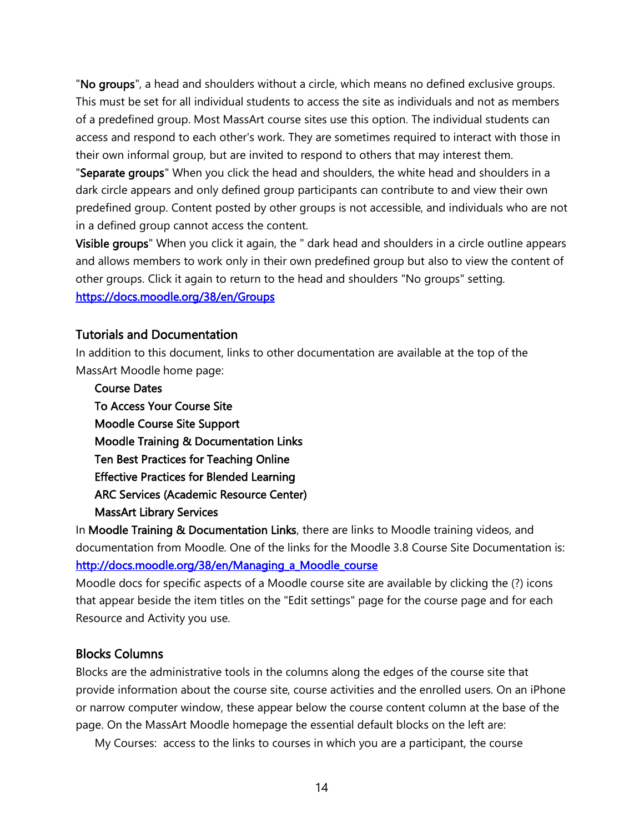"No groups", a head and shoulders without a circle, which means no defined exclusive groups. This must be set for all individual students to access the site as individuals and not as members of a predefined group. Most MassArt course sites use this option. The individual students can access and respond to each other's work. They are sometimes required to interact with those in their own informal group, but are invited to respond to others that may interest them.

"Separate groups" When you click the head and shoulders, the white head and shoulders in a dark circle appears and only defined group participants can contribute to and view their own predefined group. Content posted by other groups is not accessible, and individuals who are not in a defined group cannot access the content.

Visible groups" When you click it again, the " dark head and shoulders in a circle outline appears and allows members to work only in their own predefined group but also to view the content of other groups. Click it again to return to the head and shoulders "No groups" setting.

<https://docs.moodle.org/38/en/Groups>

### Tutorials and Documentation

In addition to this document, links to other documentation are available at the top of the MassArt Moodle home page:

Course Dates To Access Your Course Site Moodle Course Site Support Moodle Training & Documentation Links Ten Best Practices for Teaching Online Effective Practices for Blended Learning ARC Services (Academic Resource Center) MassArt Library Services

In Moodle Training & Documentation Links, there are links to Moodle training videos, and documentation from Moodle. One of the links for the Moodle 3.8 Course Site Documentation is: [http://docs.moodle.org/38/en/Managing\\_a\\_Moodle\\_course](http://docs.moodle.org/38/en/Managing_a_Moodle_course)

Moodle docs for specific aspects of a Moodle course site are available by clicking the (?) icons that appear beside the item titles on the "Edit settings" page for the course page and for each Resource and Activity you use.

### Blocks Columns

Blocks are the administrative tools in the columns along the edges of the course site that provide information about the course site, course activities and the enrolled users. On an iPhone or narrow computer window, these appear below the course content column at the base of the page. On the MassArt Moodle homepage the essential default blocks on the left are:

My Courses: access to the links to courses in which you are a participant, the course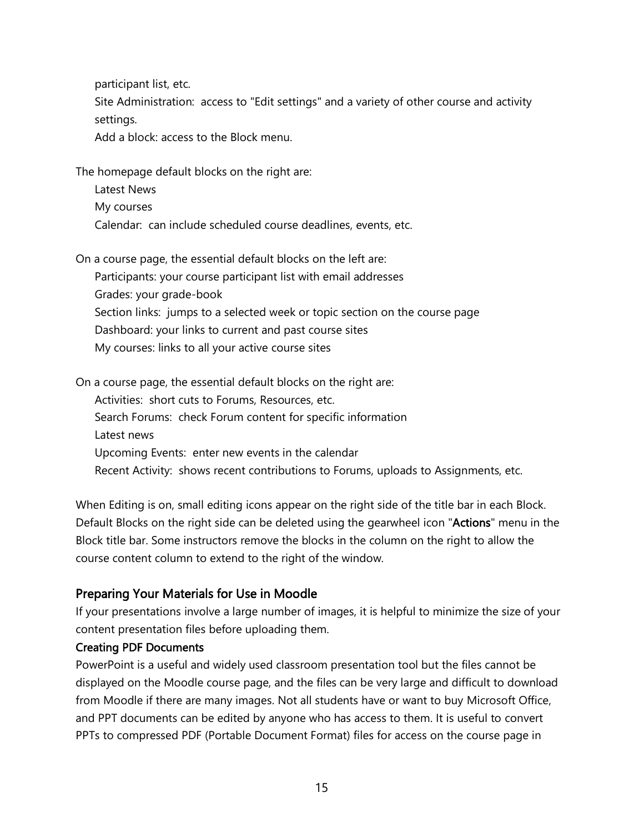participant list, etc.

Site Administration: access to "Edit settings" and a variety of other course and activity settings.

Add a block: access to the Block menu.

The homepage default blocks on the right are:

Latest News My courses Calendar: can include scheduled course deadlines, events, etc.

On a course page, the essential default blocks on the left are:

Participants: your course participant list with email addresses Grades: your grade-book Section links: jumps to a selected week or topic section on the course page Dashboard: your links to current and past course sites My courses: links to all your active course sites

On a course page, the essential default blocks on the right are: Activities: short cuts to Forums, Resources, etc. Search Forums: check Forum content for specific information Latest news Upcoming Events: enter new events in the calendar

Recent Activity: shows recent contributions to Forums, uploads to Assignments, etc.

When Editing is on, small editing icons appear on the right side of the title bar in each Block. Default Blocks on the right side can be deleted using the gearwheel icon "Actions" menu in the Block title bar. Some instructors remove the blocks in the column on the right to allow the course content column to extend to the right of the window.

# Preparing Your Materials for Use in Moodle

If your presentations involve a large number of images, it is helpful to minimize the size of your content presentation files before uploading them.

### Creating PDF Documents

PowerPoint is a useful and widely used classroom presentation tool but the files cannot be displayed on the Moodle course page, and the files can be very large and difficult to download from Moodle if there are many images. Not all students have or want to buy Microsoft Office, and PPT documents can be edited by anyone who has access to them. It is useful to convert PPTs to compressed PDF (Portable Document Format) files for access on the course page in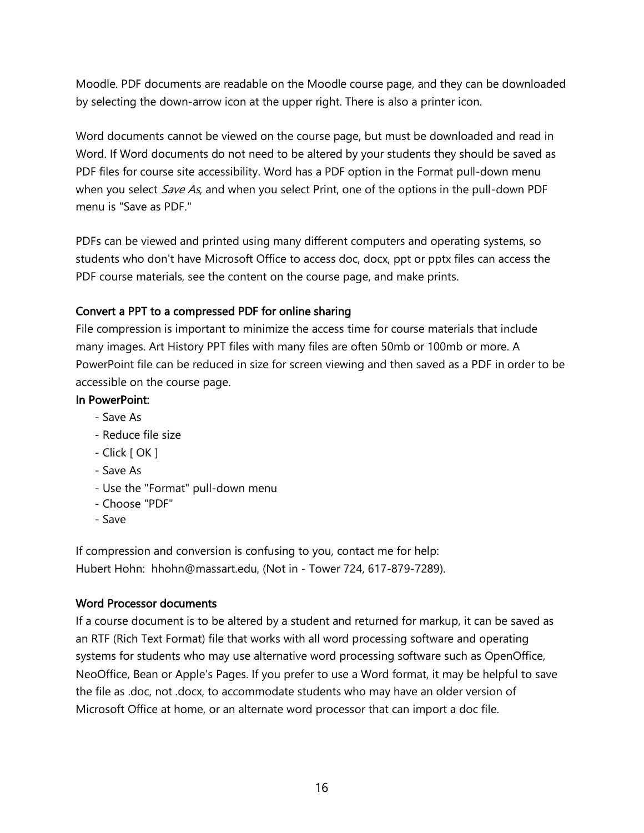Moodle. PDF documents are readable on the Moodle course page, and they can be downloaded by selecting the down-arrow icon at the upper right. There is also a printer icon.

Word documents cannot be viewed on the course page, but must be downloaded and read in Word. If Word documents do not need to be altered by your students they should be saved as PDF files for course site accessibility. Word has a PDF option in the Format pull-down menu when you select *Save As*, and when you select Print, one of the options in the pull-down PDF menu is "Save as PDF."

PDFs can be viewed and printed using many different computers and operating systems, so students who don't have Microsoft Office to access doc, docx, ppt or pptx files can access the PDF course materials, see the content on the course page, and make prints.

### Convert a PPT to a compressed PDF for online sharing

File compression is important to minimize the access time for course materials that include many images. Art History PPT files with many files are often 50mb or 100mb or more. A PowerPoint file can be reduced in size for screen viewing and then saved as a PDF in order to be accessible on the course page.

#### In PowerPoint:

- Save As
- Reduce file size
- Click [ OK ]
- Save As
- Use the "Format" pull-down menu
- Choose "PDF"
- Save

If compression and conversion is confusing to you, contact me for help: Hubert Hohn: hhohn@massart.edu, (Not in - Tower 724, 617-879-7289).

### Word Processor documents

If a course document is to be altered by a student and returned for markup, it can be saved as an RTF (Rich Text Format) file that works with all word processing software and operating systems for students who may use alternative word processing software such as OpenOffice, NeoOffice, Bean or Apple's Pages. If you prefer to use a Word format, it may be helpful to save the file as .doc, not .docx, to accommodate students who may have an older version of Microsoft Office at home, or an alternate word processor that can import a doc file.